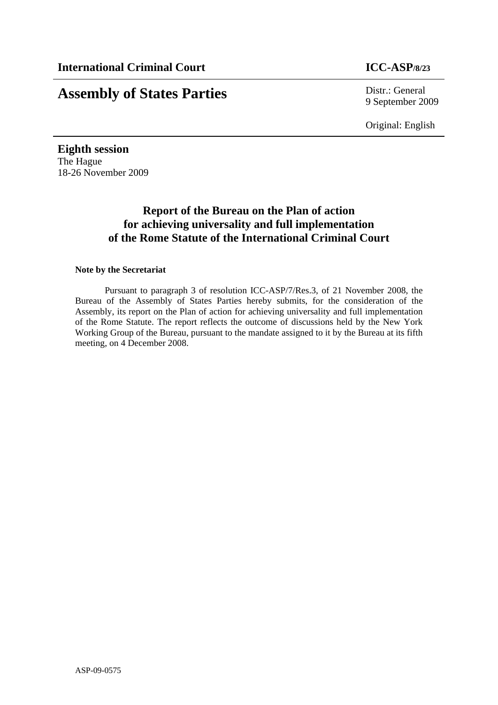# **Assembly of States Parties** Distr.: General

9 September 2009

Original: English

**Eighth session**  The Hague 18-26 November 2009

# **Report of the Bureau on the Plan of action for achieving universality and full implementation of the Rome Statute of the International Criminal Court**

# **Note by the Secretariat**

Pursuant to paragraph 3 of resolution ICC-ASP/7/Res.3, of 21 November 2008, the Bureau of the Assembly of States Parties hereby submits, for the consideration of the Assembly, its report on the Plan of action for achieving universality and full implementation of the Rome Statute. The report reflects the outcome of discussions held by the New York Working Group of the Bureau, pursuant to the mandate assigned to it by the Bureau at its fifth meeting, on 4 December 2008.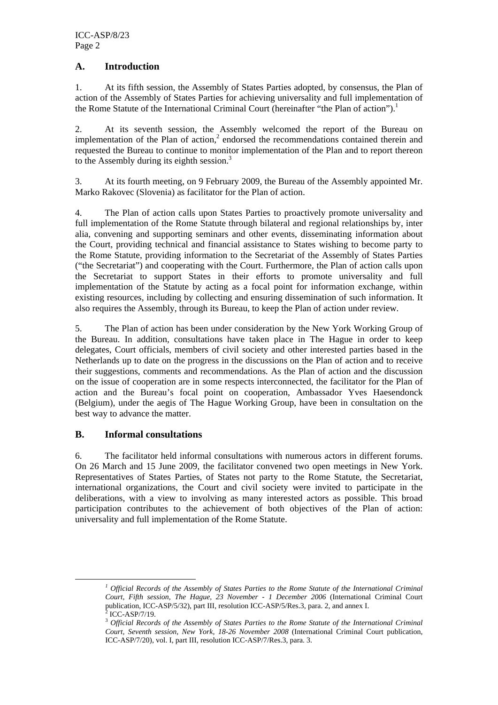# **A. Introduction**

1. At its fifth session, the Assembly of States Parties adopted, by consensus, the Plan of action of the Assembly of States Parties for achieving universality and full implementation of the Rome Statute of the International Criminal Court (hereinafter "the Plan of action").<sup>1</sup>

2. At its seventh session, the Assembly welcomed the report of the Bureau on implementation of the Plan of action, $2$  endorsed the recommendations contained therein and requested the Bureau to continue to monitor implementation of the Plan and to report thereon to the Assembly during its eighth session.<sup>3</sup>

3. At its fourth meeting, on 9 February 2009, the Bureau of the Assembly appointed Mr. Marko Rakovec (Slovenia) as facilitator for the Plan of action.

4. The Plan of action calls upon States Parties to proactively promote universality and full implementation of the Rome Statute through bilateral and regional relationships by, inter alia, convening and supporting seminars and other events, disseminating information about the Court, providing technical and financial assistance to States wishing to become party to the Rome Statute, providing information to the Secretariat of the Assembly of States Parties ("the Secretariat") and cooperating with the Court. Furthermore, the Plan of action calls upon the Secretariat to support States in their efforts to promote universality and full implementation of the Statute by acting as a focal point for information exchange, within existing resources, including by collecting and ensuring dissemination of such information. It also requires the Assembly, through its Bureau, to keep the Plan of action under review.

5. The Plan of action has been under consideration by the New York Working Group of the Bureau. In addition, consultations have taken place in The Hague in order to keep delegates, Court officials, members of civil society and other interested parties based in the Netherlands up to date on the progress in the discussions on the Plan of action and to receive their suggestions, comments and recommendations. As the Plan of action and the discussion on the issue of cooperation are in some respects interconnected, the facilitator for the Plan of action and the Bureau's focal point on cooperation, Ambassador Yves Haesendonck (Belgium), under the aegis of The Hague Working Group, have been in consultation on the best way to advance the matter.

#### **B. Informal consultations**

6. The facilitator held informal consultations with numerous actors in different forums. On 26 March and 15 June 2009, the facilitator convened two open meetings in New York. Representatives of States Parties, of States not party to the Rome Statute, the Secretariat, international organizations, the Court and civil society were invited to participate in the deliberations, with a view to involving as many interested actors as possible. This broad participation contributes to the achievement of both objectives of the Plan of action: universality and full implementation of the Rome Statute.

*<sup>1</sup> Official Records of the Assembly of States Parties to the Rome Statute of the International Criminal Court, Fifth session, The Hague, 23 November - 1 December 2006* (International Criminal Court publication, ICC-ASP/5/32), part III, resolution ICC-ASP/5/Res.3, para. 2, and annex I. 2 ICC-ASP/7/19.

<sup>3</sup> *Official Records of the Assembly of States Parties to the Rome Statute of the International Criminal Court, Seventh session, New York, 18-26 November 2008* (International Criminal Court publication, ICC-ASP/7/20), vol. I, part III, resolution ICC-ASP/7/Res.3, para. 3.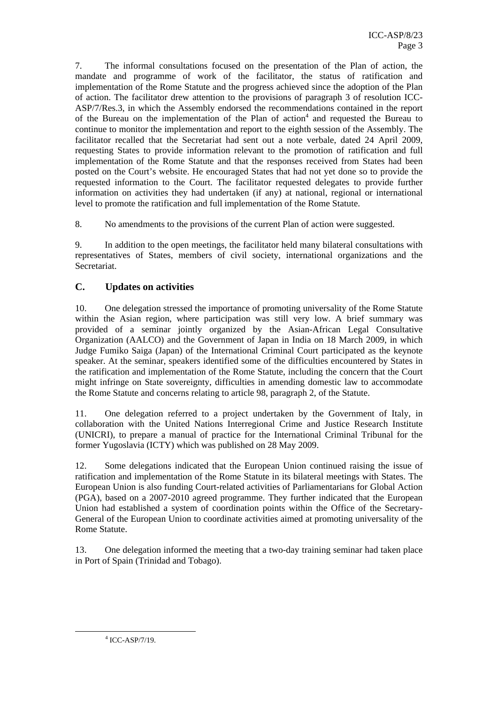7. The informal consultations focused on the presentation of the Plan of action, the mandate and programme of work of the facilitator, the status of ratification and implementation of the Rome Statute and the progress achieved since the adoption of the Plan of action. The facilitator drew attention to the provisions of paragraph 3 of resolution ICC-ASP/7/Res.3, in which the Assembly endorsed the recommendations contained in the report of the Bureau on the implementation of the Plan of action<sup>4</sup> and requested the Bureau to continue to monitor the implementation and report to the eighth session of the Assembly. The facilitator recalled that the Secretariat had sent out a note verbale, dated 24 April 2009, requesting States to provide information relevant to the promotion of ratification and full implementation of the Rome Statute and that the responses received from States had been posted on the Court's website. He encouraged States that had not yet done so to provide the requested information to the Court. The facilitator requested delegates to provide further information on activities they had undertaken (if any) at national, regional or international level to promote the ratification and full implementation of the Rome Statute.

8. No amendments to the provisions of the current Plan of action were suggested.

9. In addition to the open meetings, the facilitator held many bilateral consultations with representatives of States, members of civil society, international organizations and the Secretariat.

# **C. Updates on activities**

10. One delegation stressed the importance of promoting universality of the Rome Statute within the Asian region, where participation was still very low. A brief summary was provided of a seminar jointly organized by the Asian-African Legal Consultative Organization (AALCO) and the Government of Japan in India on 18 March 2009, in which Judge Fumiko Saiga (Japan) of the International Criminal Court participated as the keynote speaker. At the seminar, speakers identified some of the difficulties encountered by States in the ratification and implementation of the Rome Statute, including the concern that the Court might infringe on State sovereignty, difficulties in amending domestic law to accommodate the Rome Statute and concerns relating to article 98, paragraph 2, of the Statute.

11. One delegation referred to a project undertaken by the Government of Italy, in collaboration with the United Nations Interregional Crime and Justice Research Institute (UNICRI), to prepare a manual of practice for the International Criminal Tribunal for the former Yugoslavia (ICTY) which was published on 28 May 2009.

12. Some delegations indicated that the European Union continued raising the issue of ratification and implementation of the Rome Statute in its bilateral meetings with States. The European Union is also funding Court-related activities of Parliamentarians for Global Action (PGA), based on a 2007-2010 agreed programme. They further indicated that the European Union had established a system of coordination points within the Office of the Secretary-General of the European Union to coordinate activities aimed at promoting universality of the Rome Statute.

13. One delegation informed the meeting that a two-day training seminar had taken place in Port of Spain (Trinidad and Tobago).

 $\frac{1}{4}$  $4$  ICC-ASP/7/19.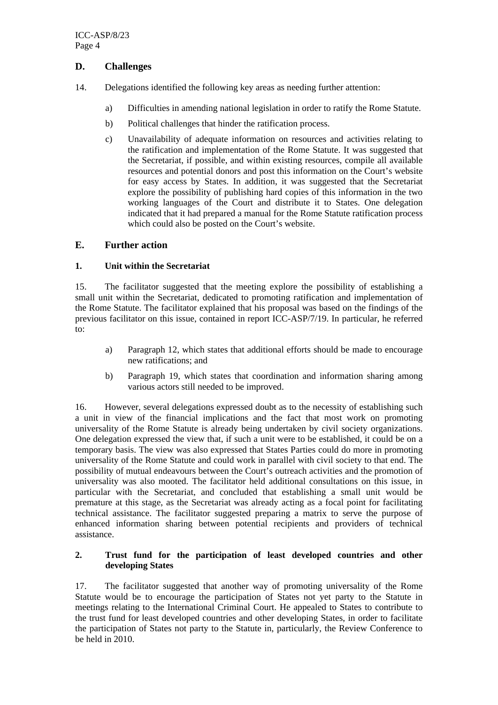# **D. Challenges**

- 14. Delegations identified the following key areas as needing further attention:
	- a) Difficulties in amending national legislation in order to ratify the Rome Statute.
	- b) Political challenges that hinder the ratification process.
	- c) Unavailability of adequate information on resources and activities relating to the ratification and implementation of the Rome Statute. It was suggested that the Secretariat, if possible, and within existing resources, compile all available resources and potential donors and post this information on the Court's website for easy access by States. In addition, it was suggested that the Secretariat explore the possibility of publishing hard copies of this information in the two working languages of the Court and distribute it to States. One delegation indicated that it had prepared a manual for the Rome Statute ratification process which could also be posted on the Court's website.

# **E. Further action**

#### **1. Unit within the Secretariat**

15. The facilitator suggested that the meeting explore the possibility of establishing a small unit within the Secretariat, dedicated to promoting ratification and implementation of the Rome Statute. The facilitator explained that his proposal was based on the findings of the previous facilitator on this issue, contained in report ICC-ASP/7/19. In particular, he referred to:

- a) Paragraph 12, which states that additional efforts should be made to encourage new ratifications; and
- b) Paragraph 19, which states that coordination and information sharing among various actors still needed to be improved.

16. However, several delegations expressed doubt as to the necessity of establishing such a unit in view of the financial implications and the fact that most work on promoting universality of the Rome Statute is already being undertaken by civil society organizations. One delegation expressed the view that, if such a unit were to be established, it could be on a temporary basis. The view was also expressed that States Parties could do more in promoting universality of the Rome Statute and could work in parallel with civil society to that end. The possibility of mutual endeavours between the Court's outreach activities and the promotion of universality was also mooted. The facilitator held additional consultations on this issue, in particular with the Secretariat, and concluded that establishing a small unit would be premature at this stage, as the Secretariat was already acting as a focal point for facilitating technical assistance. The facilitator suggested preparing a matrix to serve the purpose of enhanced information sharing between potential recipients and providers of technical assistance.

#### **2. Trust fund for the participation of least developed countries and other developing States**

17. The facilitator suggested that another way of promoting universality of the Rome Statute would be to encourage the participation of States not yet party to the Statute in meetings relating to the International Criminal Court. He appealed to States to contribute to the trust fund for least developed countries and other developing States, in order to facilitate the participation of States not party to the Statute in, particularly, the Review Conference to be held in 2010.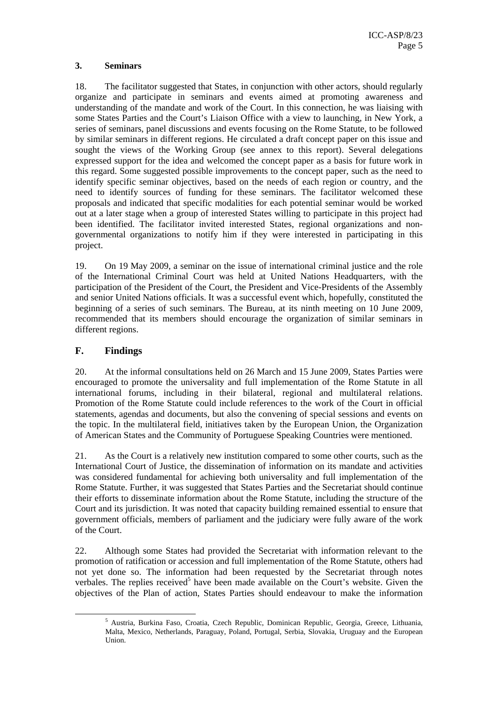#### **3. Seminars**

18. The facilitator suggested that States, in conjunction with other actors, should regularly organize and participate in seminars and events aimed at promoting awareness and understanding of the mandate and work of the Court. In this connection, he was liaising with some States Parties and the Court's Liaison Office with a view to launching, in New York, a series of seminars, panel discussions and events focusing on the Rome Statute, to be followed by similar seminars in different regions. He circulated a draft concept paper on this issue and sought the views of the Working Group (see annex to this report). Several delegations expressed support for the idea and welcomed the concept paper as a basis for future work in this regard. Some suggested possible improvements to the concept paper, such as the need to identify specific seminar objectives, based on the needs of each region or country, and the need to identify sources of funding for these seminars. The facilitator welcomed these proposals and indicated that specific modalities for each potential seminar would be worked out at a later stage when a group of interested States willing to participate in this project had been identified. The facilitator invited interested States, regional organizations and nongovernmental organizations to notify him if they were interested in participating in this project.

19. On 19 May 2009, a seminar on the issue of international criminal justice and the role of the International Criminal Court was held at United Nations Headquarters, with the participation of the President of the Court, the President and Vice-Presidents of the Assembly and senior United Nations officials. It was a successful event which, hopefully, constituted the beginning of a series of such seminars. The Bureau, at its ninth meeting on 10 June 2009, recommended that its members should encourage the organization of similar seminars in different regions.

# **F. Findings**

20. At the informal consultations held on 26 March and 15 June 2009, States Parties were encouraged to promote the universality and full implementation of the Rome Statute in all international forums, including in their bilateral, regional and multilateral relations. Promotion of the Rome Statute could include references to the work of the Court in official statements, agendas and documents, but also the convening of special sessions and events on the topic. In the multilateral field, initiatives taken by the European Union, the Organization of American States and the Community of Portuguese Speaking Countries were mentioned.

21. As the Court is a relatively new institution compared to some other courts, such as the International Court of Justice, the dissemination of information on its mandate and activities was considered fundamental for achieving both universality and full implementation of the Rome Statute. Further, it was suggested that States Parties and the Secretariat should continue their efforts to disseminate information about the Rome Statute, including the structure of the Court and its jurisdiction. It was noted that capacity building remained essential to ensure that government officials, members of parliament and the judiciary were fully aware of the work of the Court.

22. Although some States had provided the Secretariat with information relevant to the promotion of ratification or accession and full implementation of the Rome Statute, others had not yet done so. The information had been requested by the Secretariat through notes verbales. The replies received<sup>5</sup> have been made available on the Court's website. Given the objectives of the Plan of action, States Parties should endeavour to make the information

 $\frac{1}{5}$ <sup>5</sup> Austria, Burkina Faso, Croatia, Czech Republic, Dominican Republic, Georgia, Greece, Lithuania, Malta, Mexico, Netherlands, Paraguay, Poland, Portugal, Serbia, Slovakia, Uruguay and the European Union.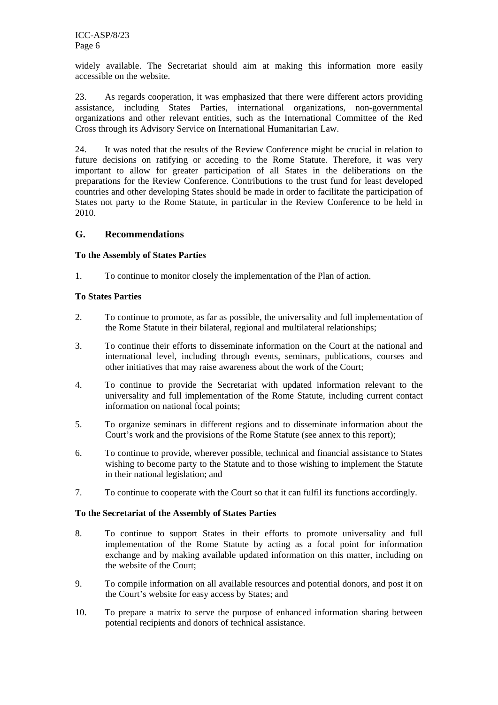widely available. The Secretariat should aim at making this information more easily accessible on the website.

23. As regards cooperation, it was emphasized that there were different actors providing assistance, including States Parties, international organizations, non-governmental organizations and other relevant entities, such as the International Committee of the Red Cross through its Advisory Service on International Humanitarian Law.

24. It was noted that the results of the Review Conference might be crucial in relation to future decisions on ratifying or acceding to the Rome Statute. Therefore, it was very important to allow for greater participation of all States in the deliberations on the preparations for the Review Conference. Contributions to the trust fund for least developed countries and other developing States should be made in order to facilitate the participation of States not party to the Rome Statute, in particular in the Review Conference to be held in 2010.

# **G. Recommendations**

#### **To the Assembly of States Parties**

1. To continue to monitor closely the implementation of the Plan of action.

#### **To States Parties**

- 2. To continue to promote, as far as possible, the universality and full implementation of the Rome Statute in their bilateral, regional and multilateral relationships;
- 3. To continue their efforts to disseminate information on the Court at the national and international level, including through events, seminars, publications, courses and other initiatives that may raise awareness about the work of the Court;
- 4. To continue to provide the Secretariat with updated information relevant to the universality and full implementation of the Rome Statute, including current contact information on national focal points;
- 5. To organize seminars in different regions and to disseminate information about the Court's work and the provisions of the Rome Statute (see annex to this report);
- 6. To continue to provide, wherever possible, technical and financial assistance to States wishing to become party to the Statute and to those wishing to implement the Statute in their national legislation; and
- 7. To continue to cooperate with the Court so that it can fulfil its functions accordingly.

#### **To the Secretariat of the Assembly of States Parties**

- 8. To continue to support States in their efforts to promote universality and full implementation of the Rome Statute by acting as a focal point for information exchange and by making available updated information on this matter, including on the website of the Court;
- 9. To compile information on all available resources and potential donors, and post it on the Court's website for easy access by States; and
- 10. To prepare a matrix to serve the purpose of enhanced information sharing between potential recipients and donors of technical assistance.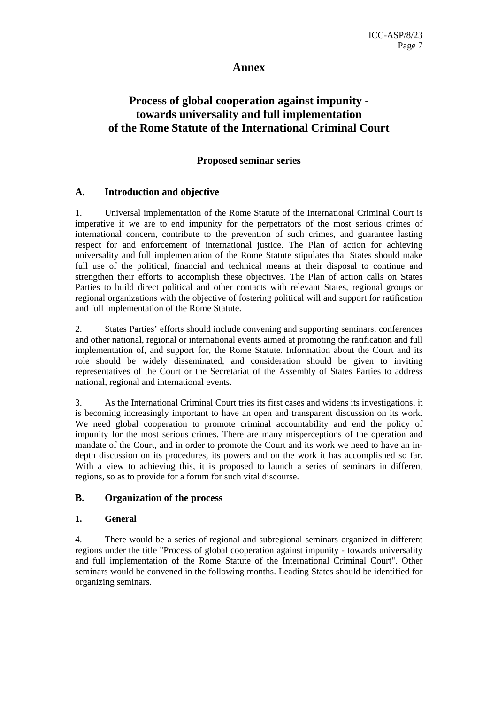# **Annex**

# **Process of global cooperation against impunity towards universality and full implementation of the Rome Statute of the International Criminal Court**

#### **Proposed seminar series**

#### **A. Introduction and objective**

1. Universal implementation of the Rome Statute of the International Criminal Court is imperative if we are to end impunity for the perpetrators of the most serious crimes of international concern, contribute to the prevention of such crimes, and guarantee lasting respect for and enforcement of international justice. The Plan of action for achieving universality and full implementation of the Rome Statute stipulates that States should make full use of the political, financial and technical means at their disposal to continue and strengthen their efforts to accomplish these objectives. The Plan of action calls on States Parties to build direct political and other contacts with relevant States, regional groups or regional organizations with the objective of fostering political will and support for ratification and full implementation of the Rome Statute.

2. States Parties' efforts should include convening and supporting seminars, conferences and other national, regional or international events aimed at promoting the ratification and full implementation of, and support for, the Rome Statute. Information about the Court and its role should be widely disseminated, and consideration should be given to inviting representatives of the Court or the Secretariat of the Assembly of States Parties to address national, regional and international events.

3. As the International Criminal Court tries its first cases and widens its investigations, it is becoming increasingly important to have an open and transparent discussion on its work. We need global cooperation to promote criminal accountability and end the policy of impunity for the most serious crimes. There are many misperceptions of the operation and mandate of the Court, and in order to promote the Court and its work we need to have an indepth discussion on its procedures, its powers and on the work it has accomplished so far. With a view to achieving this, it is proposed to launch a series of seminars in different regions, so as to provide for a forum for such vital discourse.

#### **B. Organization of the process**

#### **1. General**

4. There would be a series of regional and subregional seminars organized in different regions under the title "Process of global cooperation against impunity - towards universality and full implementation of the Rome Statute of the International Criminal Court". Other seminars would be convened in the following months. Leading States should be identified for organizing seminars.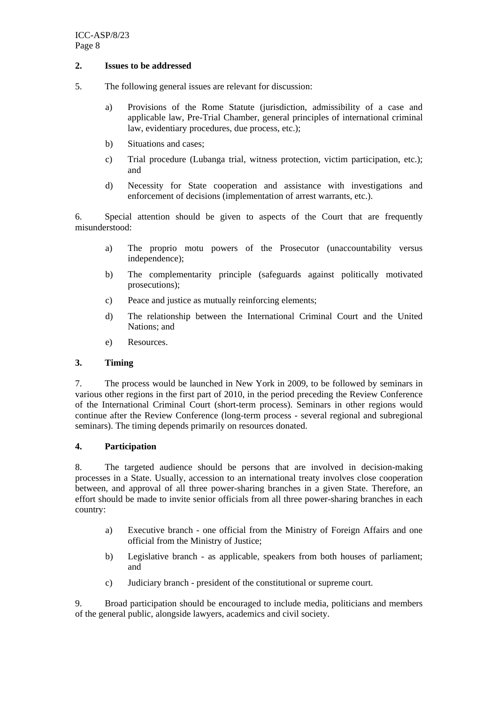#### **2. Issues to be addressed**

- 5. The following general issues are relevant for discussion:
	- a) Provisions of the Rome Statute (jurisdiction, admissibility of a case and applicable law, Pre-Trial Chamber, general principles of international criminal law, evidentiary procedures, due process, etc.);
	- b) Situations and cases;
	- c) Trial procedure (Lubanga trial, witness protection, victim participation, etc.); and
	- d) Necessity for State cooperation and assistance with investigations and enforcement of decisions (implementation of arrest warrants, etc.).

6. Special attention should be given to aspects of the Court that are frequently misunderstood:

- a) The proprio motu powers of the Prosecutor (unaccountability versus independence);
- b) The complementarity principle (safeguards against politically motivated prosecutions);
- c) Peace and justice as mutually reinforcing elements;
- d) The relationship between the International Criminal Court and the United Nations; and
- e) Resources.

#### **3. Timing**

7. The process would be launched in New York in 2009, to be followed by seminars in various other regions in the first part of 2010, in the period preceding the Review Conference of the International Criminal Court (short-term process). Seminars in other regions would continue after the Review Conference (long-term process - several regional and subregional seminars). The timing depends primarily on resources donated.

#### **4. Participation**

8. The targeted audience should be persons that are involved in decision-making processes in a State. Usually, accession to an international treaty involves close cooperation between, and approval of all three power-sharing branches in a given State. Therefore, an effort should be made to invite senior officials from all three power-sharing branches in each country:

- a) Executive branch one official from the Ministry of Foreign Affairs and one official from the Ministry of Justice;
- b) Legislative branch as applicable, speakers from both houses of parliament; and
- c) Judiciary branch president of the constitutional or supreme court.

9. Broad participation should be encouraged to include media, politicians and members of the general public, alongside lawyers, academics and civil society.